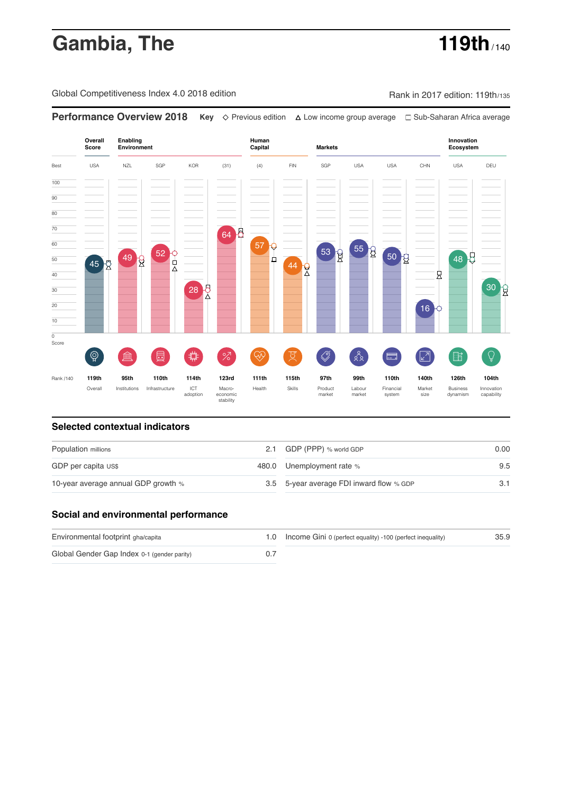# **Gambia, The 119th** / 140

Global Competitiveness Index 4.0 2018 edition Rank in 2017 edition: 119th/135

**Performance Overview 2018 Key** Previous edition Low income group average Sub-Saharan Africa average **Overall Innovation Enabling Environment Human Capital Markets Score Ecosystem** 64 8 57 O 55 R 53 R 52 0 50  $\frac{1}{8}$ 48 5 49 R ₫  $45<sub>o</sub>$ 44 R Ŕ 28 E 16 ៍{៌្ម}  $\oslash$  $88$ **ledge (** 茴 %)(  $\circledcirc$  ( 及)  $\sqrt{2}$ 酯 E 〓 Rank /140 **119th 95th 110th 114th 123rd 111th 115th 97th 99th 110th 140th 126th 104th** Overall Institutions Infrastructure ICT<br>adoption adoption Macro- economic stability Health Skills Product market Labour<br>market Financial system Market size Business dynamism Innovation capability

### **Selected contextual indicators**

| Population millions                 |  | 2.1 GDP (PPP) % world GDP                | 0.00 |
|-------------------------------------|--|------------------------------------------|------|
| GDP per capita US\$                 |  | 480.0 Unemployment rate %                | 9.5  |
| 10-year average annual GDP growth % |  | 3.5 5-year average FDI inward flow % GDP |      |

### **Social and environmental performance**

| Environmental footprint gha/capita          | 1.0 Income Gini 0 (perfect equality) -100 (perfect inequality) | 35.9 |
|---------------------------------------------|----------------------------------------------------------------|------|
| Global Gender Gap Index 0-1 (gender parity) |                                                                |      |

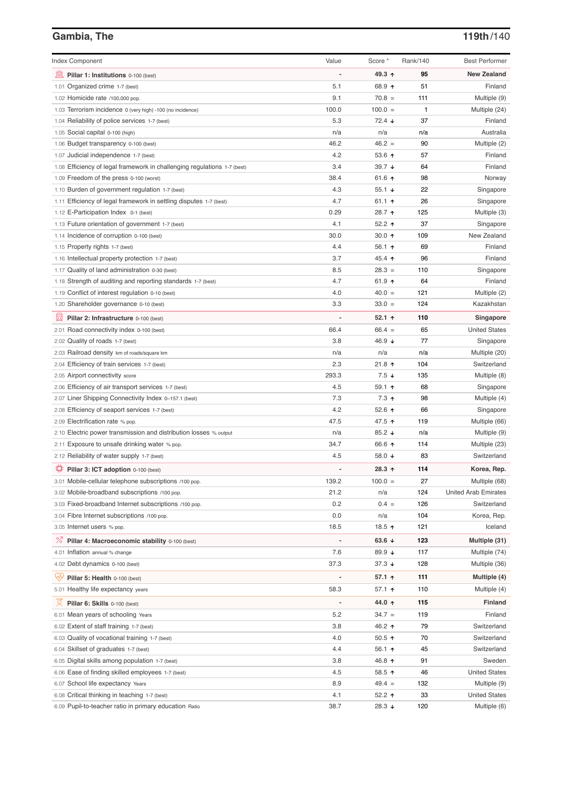# **Gambia, The 119th**/140

| <b>Index Component</b>                                                   | Value                        | Score *              | Rank/140 | <b>Best Performer</b>       |
|--------------------------------------------------------------------------|------------------------------|----------------------|----------|-----------------------------|
|                                                                          |                              |                      |          |                             |
| Pillar 1: Institutions 0-100 (best)                                      |                              | 49.3 ↑               | 95       | <b>New Zealand</b>          |
| 1.01 Organized crime 1-7 (best)                                          | 5.1                          | 68.9 ↑               | 51       | Finland                     |
| 1.02 Homicide rate /100,000 pop.                                         | 9.1                          | $70.8 =$             | 111      | Multiple (9)                |
| 1.03 Terrorism incidence 0 (very high) -100 (no incidence)               | 100.0                        | $100.0 =$            | 1        | Multiple (24)               |
| 1.04 Reliability of police services 1-7 (best)                           | 5.3                          | $72.4 \; \downarrow$ | 37       | Finland                     |
| 1.05 Social capital 0-100 (high)                                         | n/a                          | n/a                  | n/a      | Australia                   |
| 1.06 Budget transparency 0-100 (best)                                    | 46.2                         | $46.2 =$             | 90       | Multiple (2)                |
| 1.07 Judicial independence 1-7 (best)                                    | 4.2                          | 53.6 $\uparrow$      | 57       | Finland                     |
| 1.08 Efficiency of legal framework in challenging regulations 1-7 (best) | 3.4                          | 39.7 $\sqrt{ }$      | 64       | Finland                     |
| 1.09 Freedom of the press 0-100 (worst)                                  | 38.4                         | 61.6 $\uparrow$      | 98       | Norway                      |
| 1.10 Burden of government regulation 1-7 (best)                          | 4.3                          | 55.1 $\sqrt{ }$      | 22       | Singapore                   |
| 1.11 Efficiency of legal framework in settling disputes 1-7 (best)       | 4.7                          | 61.1 $\uparrow$      | 26       | Singapore                   |
| 1.12 E-Participation Index 0-1 (best)                                    | 0.29                         | 28.7 ↑               | 125      | Multiple (3)                |
| 1.13 Future orientation of government 1-7 (best)                         | 4.1                          | 52.2 $\uparrow$      | 37       | Singapore                   |
| 1.14 Incidence of corruption 0-100 (best)                                | 30.0                         | 30.0 $\uparrow$      | 109      | New Zealand                 |
| 1.15 Property rights 1-7 (best)                                          | 4.4                          | 56.1 $\uparrow$      | 69       | Finland                     |
| 1.16 Intellectual property protection 1-7 (best)                         | 3.7                          | 45.4 ↑               | 96       | Finland                     |
| 1.17 Quality of land administration 0-30 (best)                          | 8.5                          | $28.3 =$             | 110      | Singapore                   |
| 1.18 Strength of auditing and reporting standards 1-7 (best)             | 4.7                          | 61.9 $\uparrow$      | 64       | Finland                     |
| 1.19 Conflict of interest regulation 0-10 (best)                         | 4.0                          | $40.0 =$             | 121      | Multiple (2)                |
| 1.20 Shareholder governance 0-10 (best)                                  | 3.3                          | $33.0 =$             | 124      | Kazakhstan                  |
| Pillar 2: Infrastructure 0-100 (best)                                    |                              | 52.1 $\uparrow$      | 110      | Singapore                   |
| 2.01 Road connectivity index 0-100 (best)                                | 66.4                         | $66.4 =$             | 65       | <b>United States</b>        |
| 2.02 Quality of roads 1-7 (best)                                         | 3.8                          | 46.9 $\sqrt{ }$      | 77       | Singapore                   |
| 2.03 Railroad density km of roads/square km                              | n/a                          | n/a                  | n/a      | Multiple (20)               |
| 2.04 Efficiency of train services 1-7 (best)                             | 2.3                          | 21.8 $\uparrow$      | 104      | Switzerland                 |
| 2.05 Airport connectivity score                                          | 293.3                        | $7.5 \downarrow$     | 135      | Multiple (8)                |
| 2.06 Efficiency of air transport services 1-7 (best)                     | 4.5                          | 59.1 $\uparrow$      | 68       | Singapore                   |
| 2.07 Liner Shipping Connectivity Index 0-157.1 (best)                    | 7.3                          | $7.3$ ↑              | 98       | Multiple (4)                |
| 2.08 Efficiency of seaport services 1-7 (best)                           | 4.2                          | 52.6 $\uparrow$      | 66       | Singapore                   |
| 2.09 Electrification rate % pop.                                         | 47.5                         | 47.5 ↑               | 119      | Multiple (66)               |
| 2.10 Electric power transmission and distribution losses % output        | n/a                          | 85.2 $\sqrt{ }$      | n/a      | Multiple (9)                |
| 2.11 Exposure to unsafe drinking water % pop.                            | 34.7                         | 66.6 ↑               | 114      | Multiple (23)               |
| 2.12 Reliability of water supply 1-7 (best)                              | 4.5                          | 58.0 $\sqrt{ }$      | 83       | Switzerland                 |
| Pillar 3: ICT adoption 0-100 (best)                                      |                              | 28.3 $\uparrow$      | 114      | Korea, Rep.                 |
| 3.01 Mobile-cellular telephone subscriptions /100 pop.                   | 139.2                        | $100.0 =$            | 27       | Multiple (68)               |
| 3.02 Mobile-broadband subscriptions /100 pop.                            | 21.2                         | n/a                  | 124      | <b>United Arab Emirates</b> |
| 3.03 Fixed-broadband Internet subscriptions /100 pop.                    | 0.2                          | $0.4 =$              | 126      | Switzerland                 |
| 3.04 Fibre Internet subscriptions /100 pop.                              | 0.0                          | n/a                  | 104      | Korea, Rep.                 |
| 3.05 Internet users % pop.                                               | 18.5                         | 18.5 个               | 121      | Iceland                     |
|                                                                          |                              |                      |          |                             |
| ℅<br>Pillar 4: Macroeconomic stability 0-100 (best)                      | $\qquad \qquad \blacksquare$ | 63.6 $\sqrt{ }$      | 123      | Multiple (31)               |
| 4.01 Inflation annual % change                                           | 7.6                          | 89.9 ↓               | 117      | Multiple (74)               |
| 4.02 Debt dynamics 0-100 (best)                                          | 37.3                         | $37.3 +$             | 128      | Multiple (36)               |
| Qv<br>Pillar 5: Health 0-100 (best)                                      |                              | $57.1$ ↑             | 111      | Multiple (4)                |
| 5.01 Healthy life expectancy years                                       | 58.3                         | 57.1 $\uparrow$      | 110      | Multiple (4)                |
| 섯<br>Pillar 6: Skills 0-100 (best)                                       |                              | 44.0 ↑               | 115      | Finland                     |
| 6.01 Mean years of schooling Years                                       | 5.2                          | $34.7 =$             | 119      | Finland                     |
| 6.02 Extent of staff training 1-7 (best)                                 | 3.8                          | 46.2 ↑               | 79       | Switzerland                 |
| 6.03 Quality of vocational training 1-7 (best)                           | 4.0                          | 50.5 $\uparrow$      | 70       | Switzerland                 |
| 6.04 Skillset of graduates 1-7 (best)                                    | 4.4                          | 56.1 $\uparrow$      | 45       | Switzerland                 |
| 6.05 Digital skills among population 1-7 (best)                          | 3.8                          | 46.8 ↑               | 91       | Sweden                      |
| 6.06 Ease of finding skilled employees 1-7 (best)                        | 4.5                          | 58.5 个               | 46       | <b>United States</b>        |
| 6.07 School life expectancy Years                                        | 8.9                          | $49.4 =$             | 132      | Multiple (9)                |
| 6.08 Critical thinking in teaching 1-7 (best)                            | 4.1                          | 52.2 $\uparrow$      | 33       | <b>United States</b>        |
| 6.09 Pupil-to-teacher ratio in primary education Ratio                   | 38.7                         | 28.3 ↓               | 120      | Multiple (6)                |